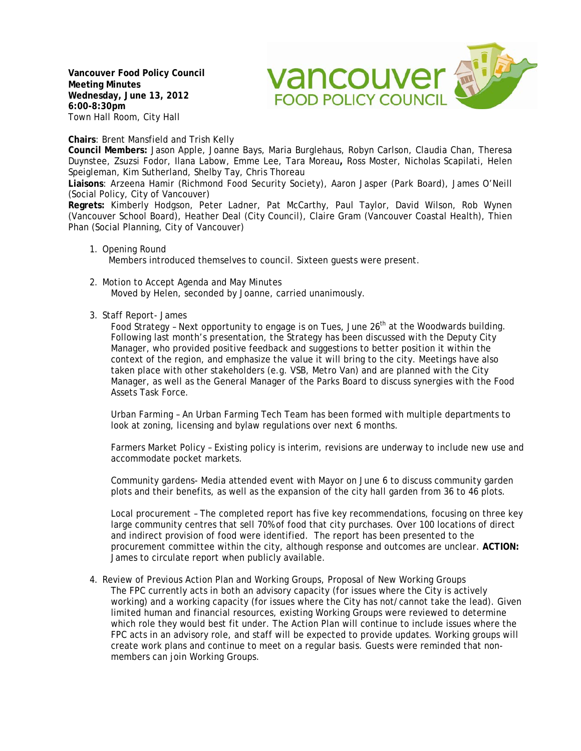**Vancouver Food Policy Council Meeting Minutes Wednesday, June 13, 2012 6:00-8:30pm** Town Hall Room, City Hall

vancouver av **FOOD POLICY COUNCIL** 

**Chairs**: Brent Mansfield and Trish Kelly

**Council Members:** Jason Apple, Joanne Bays, Maria Burglehaus, Robyn Carlson, Claudia Chan, Theresa Duynstee, Zsuzsi Fodor, Ilana Labow, Emme Lee, Tara Moreau**,** Ross Moster, Nicholas Scapilati, Helen Speigleman, Kim Sutherland, Shelby Tay, Chris Thoreau

**Liaisons**: Arzeena Hamir (Richmond Food Security Society), Aaron Jasper (Park Board), James O'Neill (Social Policy, City of Vancouver)

**Regrets:** Kimberly Hodgson, Peter Ladner, Pat McCarthy, Paul Taylor, David Wilson, Rob Wynen (Vancouver School Board), Heather Deal (City Council), Claire Gram (Vancouver Coastal Health), Thien Phan (Social Planning, City of Vancouver)

- 1. Opening Round Members introduced themselves to council. Sixteen guests were present.
- 2. Motion to Accept Agenda and May Minutes Moved by Helen, seconded by Joanne, carried unanimously.
- 3. Staff Report- James

Food Strategy - Next opportunity to engage is on Tues, June  $26<sup>th</sup>$  at the Woodwards building. Following last month's presentation, the Strategy has been discussed with the Deputy City Manager, who provided positive feedback and suggestions to better position it within the context of the region, and emphasize the value it will bring to the city. Meetings have also taken place with other stakeholders (e.g. VSB, Metro Van) and are planned with the City Manager, as well as the General Manager of the Parks Board to discuss synergies with the Food Assets Task Force.

Urban Farming – An Urban Farming Tech Team has been formed with multiple departments to look at zoning, licensing and bylaw regulations over next 6 months.

Farmers Market Policy – Existing policy is interim, revisions are underway to include new use and accommodate pocket markets.

Community gardens- Media attended event with Mayor on June 6 to discuss community garden plots and their benefits, as well as the expansion of the city hall garden from 36 to 46 plots.

Local procurement – The completed report has five key recommendations, focusing on three key large community centres that sell 70% of food that city purchases. Over 100 locations of direct and indirect provision of food were identified. The report has been presented to the procurement committee within the city, although response and outcomes are unclear. **ACTION:** James to circulate report when publicly available.

4. Review of Previous Action Plan and Working Groups, Proposal of New Working Groups The FPC currently acts in both an advisory capacity (for issues where the City is actively working) and a working capacity (for issues where the City has not/cannot take the lead). Given limited human and financial resources, existing Working Groups were reviewed to determine which role they would best fit under. The Action Plan will continue to include issues where the FPC acts in an advisory role, and staff will be expected to provide updates. Working groups will create work plans and continue to meet on a regular basis. Guests were reminded that nonmembers can join Working Groups.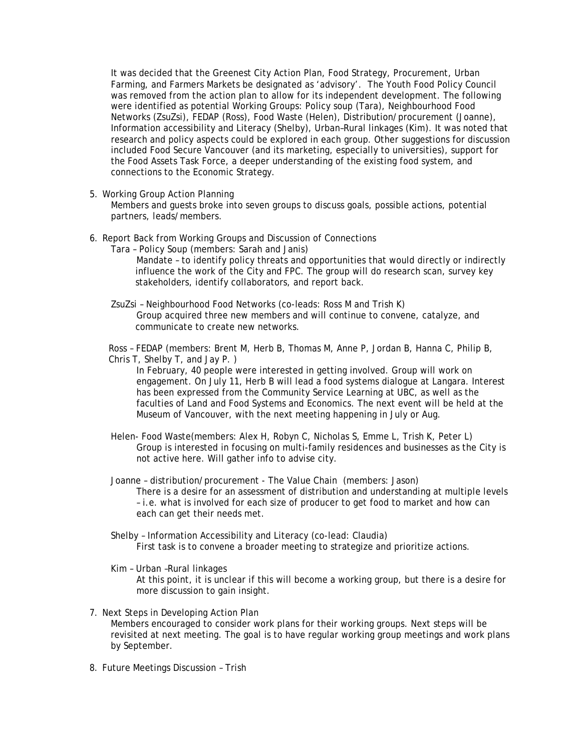It was decided that the Greenest City Action Plan, Food Strategy, Procurement, Urban Farming, and Farmers Markets be designated as 'advisory'. The Youth Food Policy Council was removed from the action plan to allow for its independent development. The following were identified as potential Working Groups: Policy soup (Tara), Neighbourhood Food Networks (ZsuZsi), FEDAP (Ross), Food Waste (Helen), Distribution/procurement (Joanne), Information accessibility and Literacy (Shelby), Urban–Rural linkages (Kim). It was noted that research and policy aspects could be explored in each group. Other suggestions for discussion included Food Secure Vancouver (and its marketing, especially to universities), support for the Food Assets Task Force, a deeper understanding of the existing food system, and connections to the Economic Strategy.

5. Working Group Action Planning

Members and guests broke into seven groups to discuss goals, possible actions, potential partners, leads/members.

- 6. Report Back from Working Groups and Discussion of Connections
	- Tara Policy Soup (members: Sarah and Janis) Mandate – to identify policy threats and opportunities that would directly or indirectly influence the work of the City and FPC. The group will do research scan, survey key
		- stakeholders, identify collaborators, and report back.
	- ZsuZsi Neighbourhood Food Networks (co-leads: Ross M and Trish K) Group acquired three new members and will continue to convene, catalyze, and communicate to create new networks.

Ross – FEDAP (members: Brent M, Herb B, Thomas M, Anne P, Jordan B, Hanna C, Philip B, Chris T, Shelby T, and Jay P. )

In February, 40 people were interested in getting involved. Group will work on engagement. On July 11, Herb B will lead a food systems dialogue at Langara. Interest has been expressed from the Community Service Learning at UBC, as well as the faculties of Land and Food Systems and Economics. The next event will be held at the Museum of Vancouver, with the next meeting happening in July or Aug.

- Helen- Food Waste(members: Alex H, Robyn C, Nicholas S, Emme L, Trish K, Peter L) Group is interested in focusing on multi-family residences and businesses as the City is not active here. Will gather info to advise city.
- Joanne distribution/procurement The Value Chain (members: Jason) There is a desire for an assessment of distribution and understanding at multiple levels – i.e. what is involved for each size of producer to get food to market and how can each can get their needs met.
- Shelby Information Accessibility and Literacy (co-lead: Claudia) First task is to convene a broader meeting to strategize and prioritize actions.

Kim – Urban –Rural linkages

At this point, it is unclear if this will become a working group, but there is a desire for more discussion to gain insight.

- 7. Next Steps in Developing Action Plan Members encouraged to consider work plans for their working groups. Next steps will be revisited at next meeting. The goal is to have regular working group meetings and work plans by September.
- 8. Future Meetings Discussion Trish